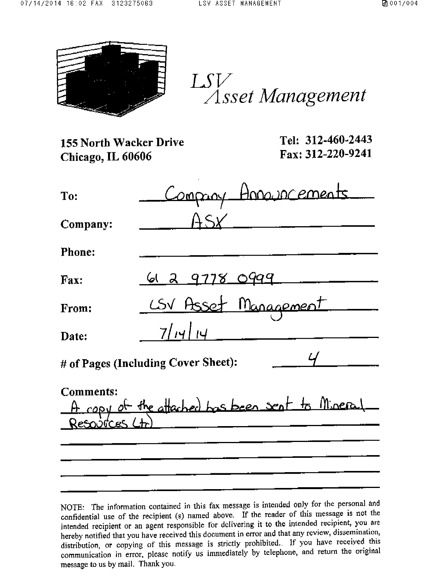

 $LSV$ Asset Management

| 155 North Wacker Drive<br>Chicago, IL 60606 | Tel: 312-460-2443<br>Fax: 312-220-9241          |
|---------------------------------------------|-------------------------------------------------|
| To:                                         | Company Announcements                           |
| Company:                                    | ASx                                             |
| <b>Phone:</b>                               |                                                 |
| <b>Fax:</b>                                 | <u> 61 2 9778 0999 - 1</u>                      |
| From:                                       | CSV Asset Management                            |
| Date:                                       | 7/14/14                                         |
|                                             | # of Pages (Including Cover Sheet):             |
| <b>Comments:</b>                            | A copy of the attached has been sent to Mineral |
|                                             |                                                 |
|                                             |                                                 |
|                                             |                                                 |

NOTE: The information contained in this fax message is intended only for the personal and confidential use of the recipient (s) named above. If the reader of this message is not the intended recipient or an agent responsible for delivering it to the intended recipient, you are hereby notified that you have received this document in error and that any review, dissemination, distribution, or copying of this message is strictly prohibited. If you have received this communication in error, please notify us immediately by telephone, and return the original message to us by mail. Thank you.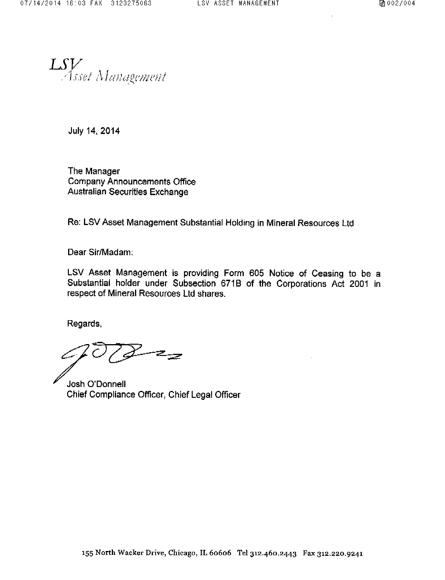LSV Management

July 14, 2014

The Manager **Company Announcements Office** Australian Securities Exchange

Re: LSV Asset Management Substantial Holding in Mineral Resources Ltd

Dear Sir/Madam:

LSV Asset Management is providing Form 605 Notice of Ceasing to be a Substantial holder under Subsection 671B of the Corporations Act 2001 in respect of Mineral Resources Ltd shares.

Regards,

౽౽

Josh O'Donnell Chief Compliance Officer, Chief Legal Officer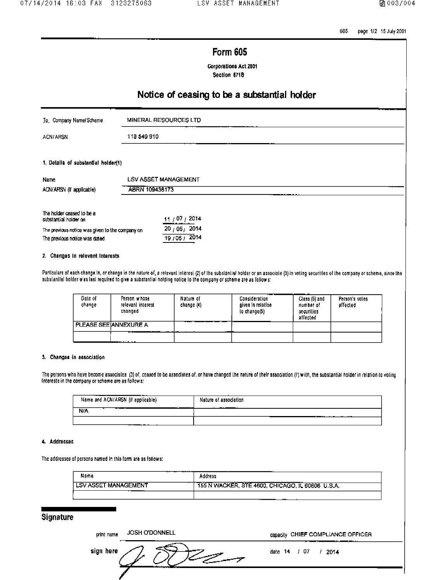605 page 1/2 15 July 2001

# **Form 605**

**Corporations Act 2001** Section 671B

# Notice of ceasing to be a substantial holder

| To Company Name/Scheme | MINERAL RESOURCES LTD<br>----- |
|------------------------|--------------------------------|
| ACN/ARSN               | 118 549 910                    |

## 1. Details of substantial holder(1)

| Name                     | LSV ASSET MANAGEMENT               |
|--------------------------|------------------------------------|
| ACN/ARSN (if applicable) | -----<br>ABRN 109436173<br>------- |
|                          |                                    |

| 11/07/2014   |
|--------------|
| 20, 05, 2014 |
| 19/05/2014   |
|              |

#### 2. Changes In relevant Interests

Particulars of each change in, or change in the nature of, a relevant interest (2) of the substantial holder or an associate (3) in voting securities of the company or scheme, since the substantial holder was last required to give a substantial holding notice to the company or scheme are as follows:

| Date of<br>change | Person whose<br>relevant interest<br>changed | Nature of<br>change (4) | Consideration<br>given in relation<br>lo change(5) | Class (6) and<br>number of<br>securities<br>affected | Person's votes<br>affected |
|-------------------|----------------------------------------------|-------------------------|----------------------------------------------------|------------------------------------------------------|----------------------------|
|                   | PLEASE SEEIANNEXURE A<br><br>--              |                         |                                                    |                                                      |                            |
|                   | .                                            |                         |                                                    |                                                      |                            |

## 3. Changes in association

The persons who have become associales (3) of, ceased to be associates of, or have changed the nature of their association (7) with, the substantial holder in relation to voling Interests in the company or scheme are as follows:

| .<br>--<br>Name and ACN/ARSN (if applicable) | Nature of association<br>- -   |
|----------------------------------------------|--------------------------------|
| N/A                                          | .<br><b><i><u>BALL</u></i></b> |
|                                              |                                |

## 4. Addresses

The addresses of persons named in this form are as follows:

| Name                        | Address                                            |
|-----------------------------|----------------------------------------------------|
| <b>LSV ASSET MANAGEMENT</b> | , 155 N WACKER, STE 4600, CHICAGO, IL 60606 U.S.A. |
|                             |                                                    |

# **Signature**

| print name | <b>JOSH O'DONNELL</b> | capacity CHIEF COMPLIANCE OFFICER |
|------------|-----------------------|-----------------------------------|
| sign here  |                       | date 14 / 07<br>/ 2014            |
|            |                       |                                   |